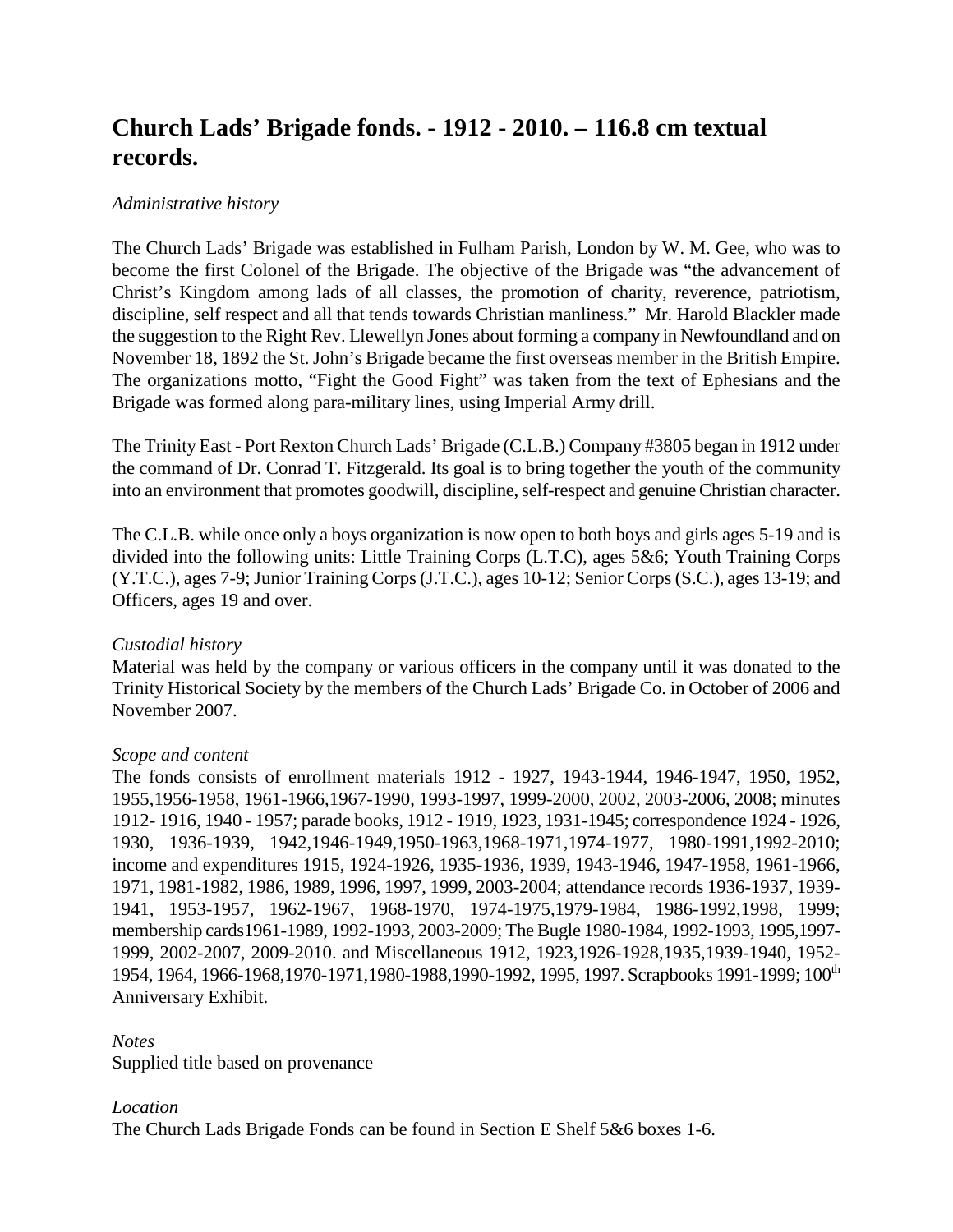# **Church Lads' Brigade fonds. - 1912 - 2010. – 116.8 cm textual records.**

# *Administrative history*

The Church Lads' Brigade was established in Fulham Parish, London by W. M. Gee, who was to become the first Colonel of the Brigade. The objective of the Brigade was "the advancement of Christ's Kingdom among lads of all classes, the promotion of charity, reverence, patriotism, discipline, self respect and all that tends towards Christian manliness." Mr. Harold Blackler made the suggestion to the Right Rev. Llewellyn Jones about forming a company in Newfoundland and on November 18, 1892 the St. John's Brigade became the first overseas member in the British Empire. The organizations motto, "Fight the Good Fight" was taken from the text of Ephesians and the Brigade was formed along para-military lines, using Imperial Army drill.

The Trinity East - Port Rexton Church Lads' Brigade (C.L.B.) Company #3805 began in 1912 under the command of Dr. Conrad T. Fitzgerald. Its goal is to bring together the youth of the community into an environment that promotes goodwill, discipline, self-respect and genuine Christian character.

The C.L.B. while once only a boys organization is now open to both boys and girls ages 5-19 and is divided into the following units: Little Training Corps (L.T.C), ages 5&6; Youth Training Corps (Y.T.C.), ages 7-9; Junior Training Corps (J.T.C.), ages 10-12; Senior Corps (S.C.), ages 13-19; and Officers, ages 19 and over.

# *Custodial history*

Material was held by the company or various officers in the company until it was donated to the Trinity Historical Society by the members of the Church Lads' Brigade Co. in October of 2006 and November 2007.

#### *Scope and content*

The fonds consists of enrollment materials 1912 - 1927, 1943-1944, 1946-1947, 1950, 1952, 1955,1956-1958, 1961-1966,1967-1990, 1993-1997, 1999-2000, 2002, 2003-2006, 2008; minutes 1912- 1916, 1940 - 1957; parade books, 1912 - 1919, 1923, 1931-1945; correspondence 1924 - 1926, 1930, 1936-1939, 1942,1946-1949,1950-1963,1968-1971,1974-1977, 1980-1991,1992-2010; income and expenditures 1915, 1924-1926, 1935-1936, 1939, 1943-1946, 1947-1958, 1961-1966, 1971, 1981-1982, 1986, 1989, 1996, 1997, 1999, 2003-2004; attendance records 1936-1937, 1939- 1941, 1953-1957, 1962-1967, 1968-1970, 1974-1975,1979-1984, 1986-1992,1998, 1999; membership cards1961-1989, 1992-1993, 2003-2009; The Bugle 1980-1984, 1992-1993, 1995,1997- 1999, 2002-2007, 2009-2010. and Miscellaneous 1912, 1923,1926-1928,1935,1939-1940, 1952- 1954, 1964, 1966-1968,1970-1971,1980-1988,1990-1992, 1995, 1997. Scrapbooks 1991-1999; 100th Anniversary Exhibit.

#### *Notes*

Supplied title based on provenance

# *Location*

The Church Lads Brigade Fonds can be found in Section E Shelf 5&6 boxes 1-6.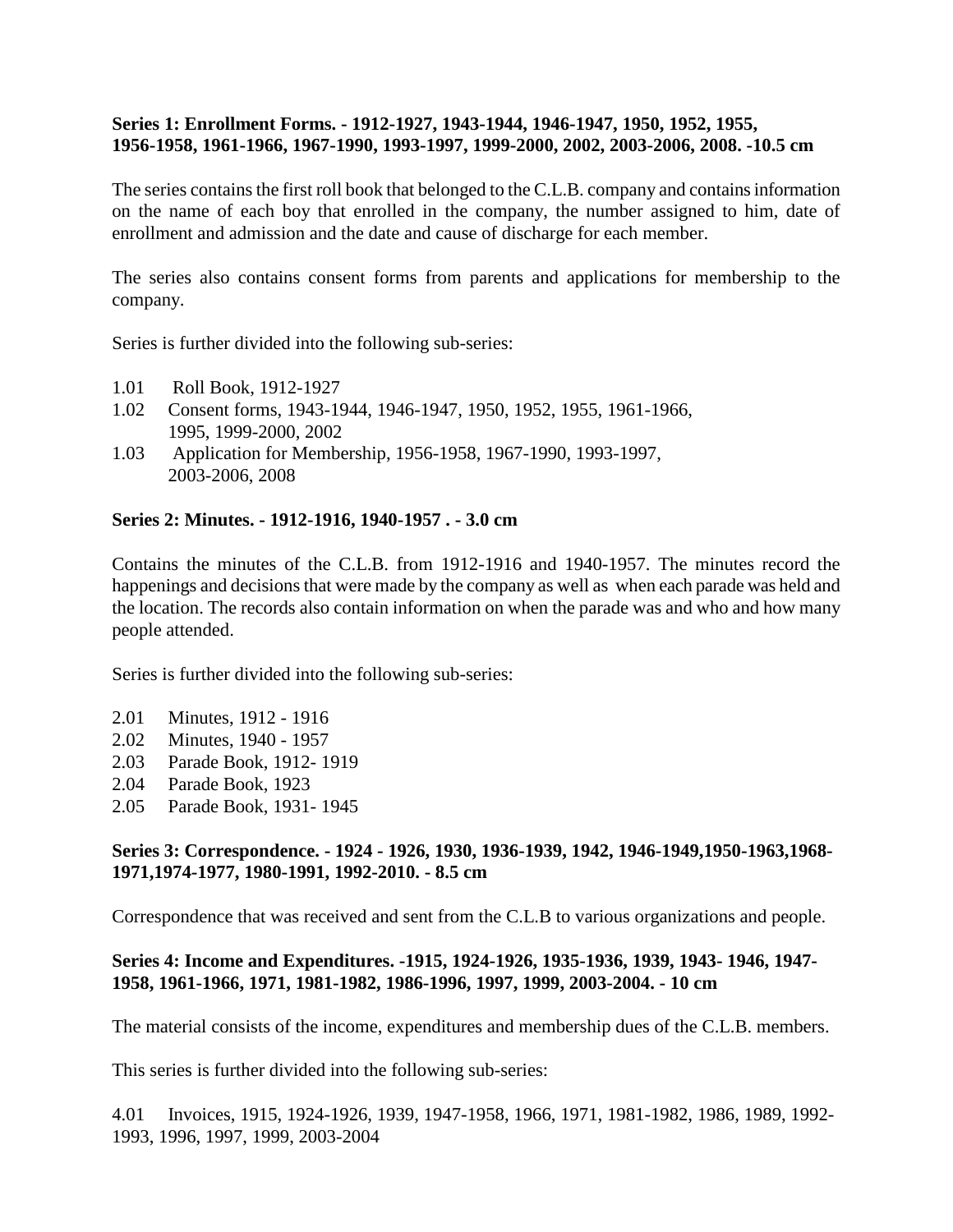#### **Series 1: Enrollment Forms. - 1912-1927, 1943-1944, 1946-1947, 1950, 1952, 1955, 1956-1958, 1961-1966, 1967-1990, 1993-1997, 1999-2000, 2002, 2003-2006, 2008. -10.5 cm**

The series contains the first roll book that belonged to the C.L.B. company and contains information on the name of each boy that enrolled in the company, the number assigned to him, date of enrollment and admission and the date and cause of discharge for each member.

The series also contains consent forms from parents and applications for membership to the company.

Series is further divided into the following sub-series:

- 1.01 Roll Book, 1912-1927
- 1.02 Consent forms, 1943-1944, 1946-1947, 1950, 1952, 1955, 1961-1966, 1995, 1999-2000, 2002
- 1.03 Application for Membership, 1956-1958, 1967-1990, 1993-1997, 2003-2006, 2008

#### **Series 2: Minutes. - 1912-1916, 1940-1957 . - 3.0 cm**

Contains the minutes of the C.L.B. from 1912-1916 and 1940-1957. The minutes record the happenings and decisions that were made by the company as well as when each parade was held and the location. The records also contain information on when the parade was and who and how many people attended.

Series is further divided into the following sub-series:

- 2.01 Minutes, 1912 1916
- 2.02 Minutes, 1940 1957
- 2.03 Parade Book, 1912- 1919
- 2.04 Parade Book, 1923
- 2.05 Parade Book, 1931- 1945

#### **Series 3: Correspondence. - 1924 - 1926, 1930, 1936-1939, 1942, 1946-1949,1950-1963,1968- 1971,1974-1977, 1980-1991, 1992-2010. - 8.5 cm**

Correspondence that was received and sent from the C.L.B to various organizations and people.

#### **Series 4: Income and Expenditures. -1915, 1924-1926, 1935-1936, 1939, 1943- 1946, 1947- 1958, 1961-1966, 1971, 1981-1982, 1986-1996, 1997, 1999, 2003-2004. - 10 cm**

The material consists of the income, expenditures and membership dues of the C.L.B. members.

This series is further divided into the following sub-series:

4.01 Invoices, 1915, 1924-1926, 1939, 1947-1958, 1966, 1971, 1981-1982, 1986, 1989, 1992- 1993, 1996, 1997, 1999, 2003-2004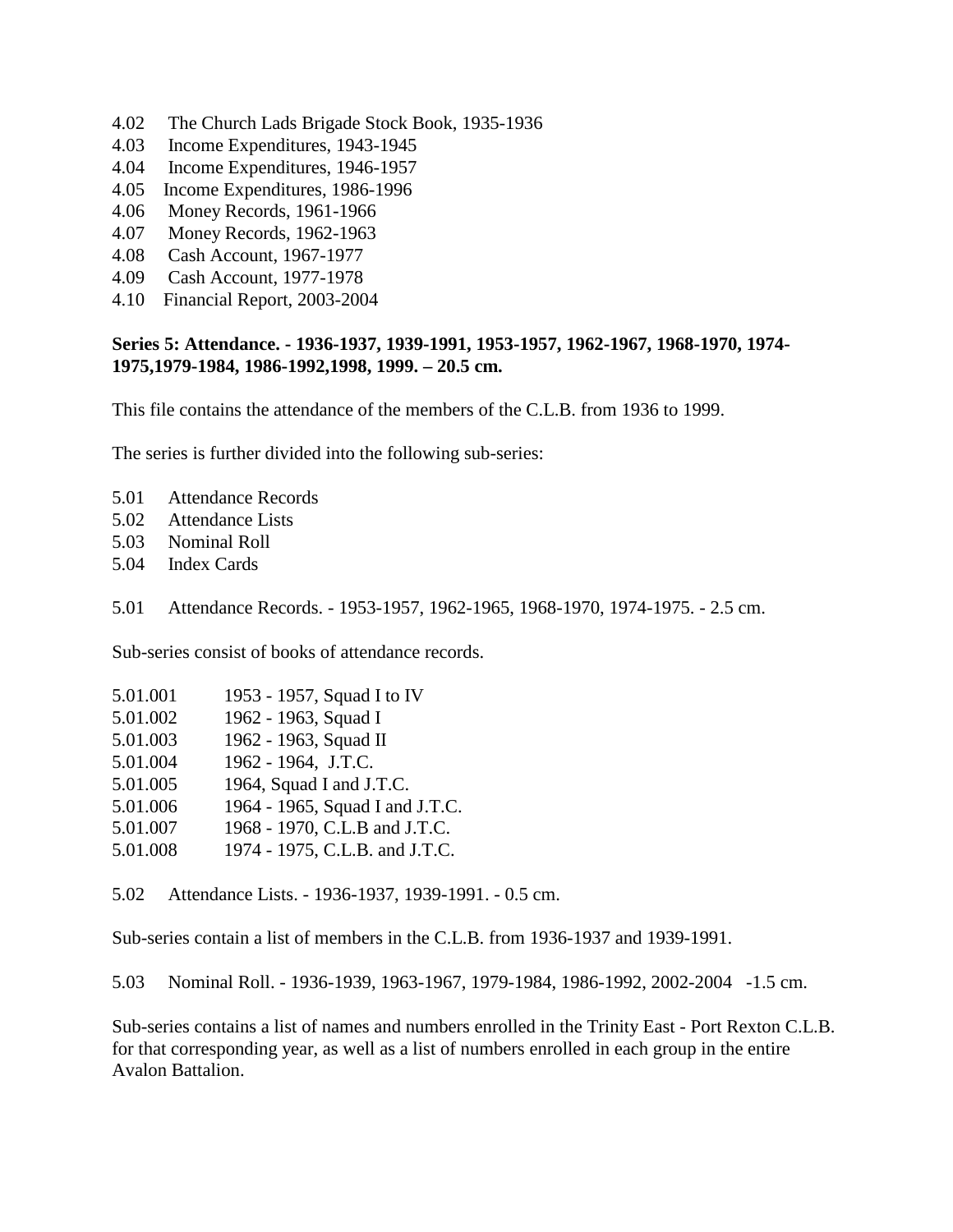- 4.02 The Church Lads Brigade Stock Book, 1935-1936
- 4.03 Income Expenditures, 1943-1945
- 4.04 Income Expenditures, 1946-1957
- 4.05 Income Expenditures, 1986-1996
- 4.06 Money Records, 1961-1966
- 4.07 Money Records, 1962-1963
- 4.08 Cash Account, 1967-1977
- 4.09 Cash Account, 1977-1978
- 4.10 Financial Report, 2003-2004

# **Series 5: Attendance. - 1936-1937, 1939-1991, 1953-1957, 1962-1967, 1968-1970, 1974- 1975,1979-1984, 1986-1992,1998, 1999. – 20.5 cm.**

This file contains the attendance of the members of the C.L.B. from 1936 to 1999.

The series is further divided into the following sub-series:

- 5.01 Attendance Records
- 5.02 Attendance Lists
- 5.03 Nominal Roll
- 5.04 Index Cards
- 5.01 Attendance Records. 1953-1957, 1962-1965, 1968-1970, 1974-1975. 2.5 cm.

Sub-series consist of books of attendance records.

| 5.01.001 |  | 1953 - 1957, Squad I to IV |  |
|----------|--|----------------------------|--|
|          |  |                            |  |

- 5.01.002 1962 1963, Squad I
- 5.01.003 1962 1963, Squad II
- 5.01.004 1962 1964, J.T.C.
- 5.01.005 1964, Squad I and J.T.C.
- 5.01.006 1964 1965, Squad I and J.T.C.
- 5.01.007 1968 1970, C.L.B and J.T.C.
- 5.01.008 1974 1975, C.L.B. and J.T.C.

5.02 Attendance Lists. - 1936-1937, 1939-1991. - 0.5 cm.

Sub-series contain a list of members in the C.L.B. from 1936-1937 and 1939-1991.

5.03 Nominal Roll. - 1936-1939, 1963-1967, 1979-1984, 1986-1992, 2002-2004 -1.5 cm.

Sub-series contains a list of names and numbers enrolled in the Trinity East - Port Rexton C.L.B. for that corresponding year, as well as a list of numbers enrolled in each group in the entire Avalon Battalion.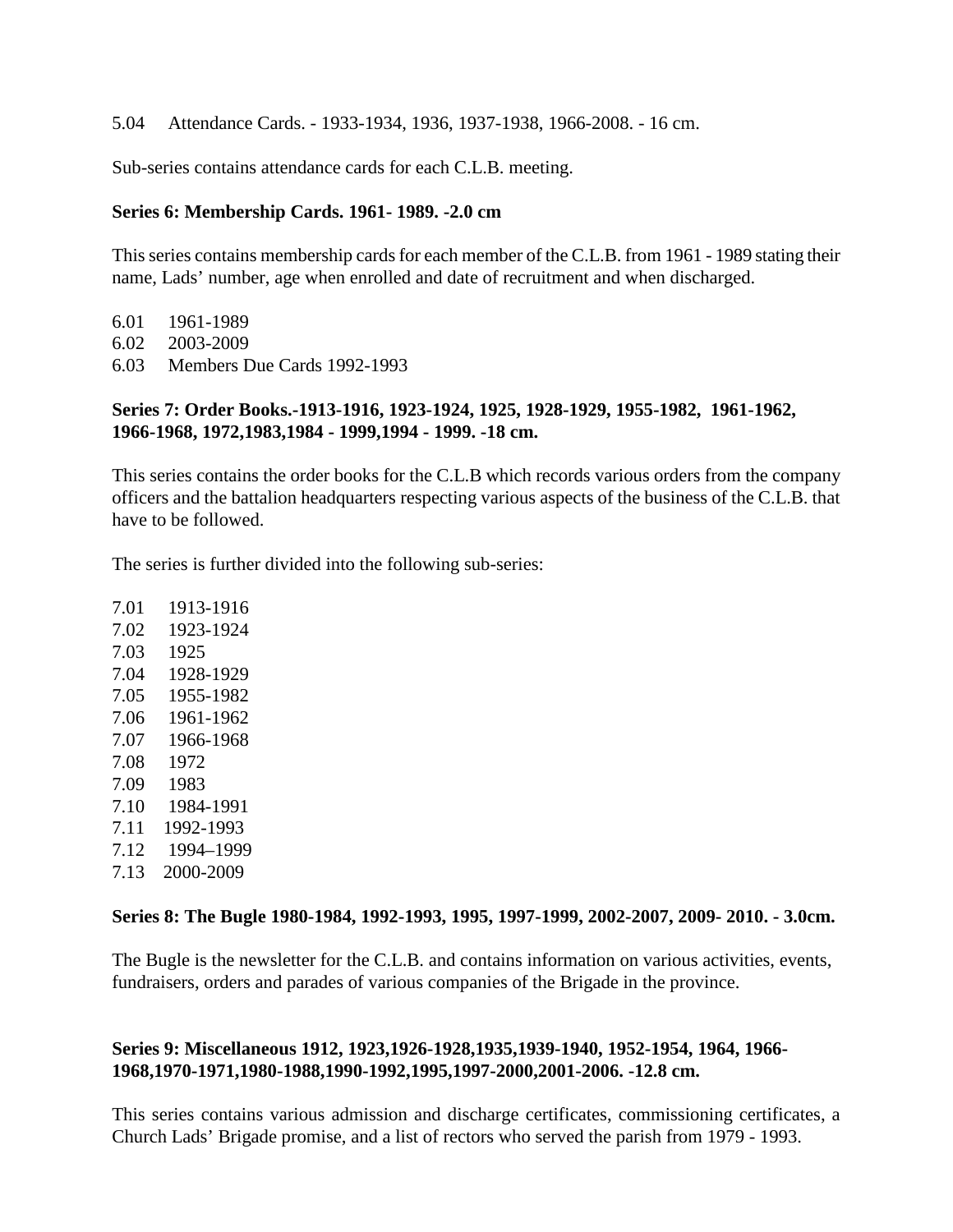5.04 Attendance Cards. - 1933-1934, 1936, 1937-1938, 1966-2008. - 16 cm.

Sub-series contains attendance cards for each C.L.B. meeting.

#### **Series 6: Membership Cards. 1961- 1989. -2.0 cm**

This series contains membership cards for each member of the C.L.B. from 1961 - 1989 stating their name, Lads' number, age when enrolled and date of recruitment and when discharged.

- 6.01 1961-1989 6.02 2003-2009
- 6.03 Members Due Cards 1992-1993

# **Series 7: Order Books.-1913-1916, 1923-1924, 1925, 1928-1929, 1955-1982, 1961-1962, 1966-1968, 1972,1983,1984 - 1999,1994 - 1999. -18 cm.**

This series contains the order books for the C.L.B which records various orders from the company officers and the battalion headquarters respecting various aspects of the business of the C.L.B. that have to be followed.

The series is further divided into the following sub-series:

7.01 1913-1916 7.02 1923-1924 7.03 1925 7.04 1928-1929 7.05 1955-1982 7.06 1961-1962 7.07 1966-1968 7.08 1972 7.09 1983 7.10 1984-1991 7.11 1992-1993 7.12 1994–1999 7.13 2000-2009

#### **Series 8: The Bugle 1980-1984, 1992-1993, 1995, 1997-1999, 2002-2007, 2009- 2010. - 3.0cm.**

The Bugle is the newsletter for the C.L.B. and contains information on various activities, events, fundraisers, orders and parades of various companies of the Brigade in the province.

# **Series 9: Miscellaneous 1912, 1923,1926-1928,1935,1939-1940, 1952-1954, 1964, 1966- 1968,1970-1971,1980-1988,1990-1992,1995,1997-2000,2001-2006. -12.8 cm.**

This series contains various admission and discharge certificates, commissioning certificates, a Church Lads' Brigade promise, and a list of rectors who served the parish from 1979 - 1993.